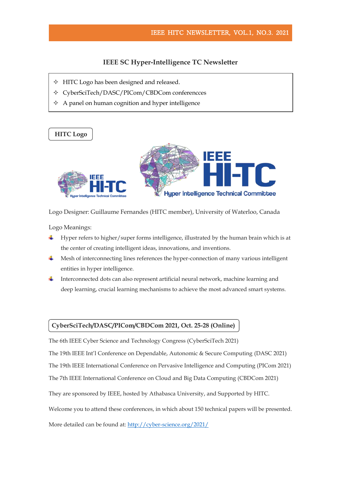# **IEEE SC Hyper-Intelligence TC Newsletter**

- $\div$  HITC Logo has been designed and released.
- CyberSciTech/DASC/PICom/CBDCom conferencces
- $\Diamond$  A panel on human cognition and hyper intelligence



Logo Designer: Guillaume Fernandes (HITC member), University of Waterloo, Canada

Logo Meanings:

- ÷ Hyper refers to higher/super forms intelligence, illustrated by the human brain which is at the center of creating intelligent ideas, innovations, and inventions.
- Mesh of interconnecting lines references the hyper-connection of many various intelligent entities in hyper intelligence.
- Interconnected dots can also represent artificial neural network, machine learning and deep learning, crucial learning mechanisms to achieve the most advanced smart systems.

## **CyberSciTech/DASC/PICom/CBDCom 2021, Oct. 25-28 (Online)**

The 6th IEEE Cyber Science and Technology Congress (CyberSciTech 2021) The 19th IEEE Int'l Conference on Dependable, Autonomic & Secure Computing (DASC 2021) The 19th IEEE International Conference on Pervasive Intelligence and Computing (PICom 2021) The 7th IEEE International Conference on Cloud and Big Data Computing (CBDCom 2021) They are sponsored by IEEE, hosted by Athabasca University, and Supported by HITC. Welcome you to attend these conferences, in which about 150 technical papers will be presented.

More detailed can be found at[: http://cyber-science.org/2021/](http://cyber-science.org/2021/)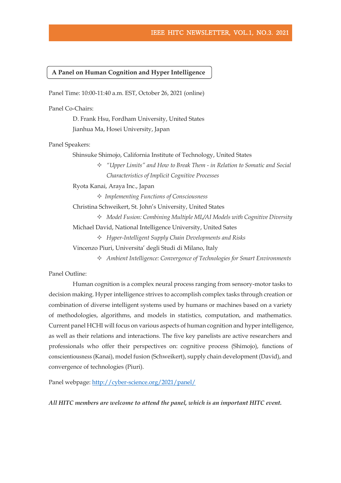### **A Panel on Human Cognition and Hyper Intelligence**

Panel Time: 10:00-11:40 a.m. EST, October 26, 2021 (online)

Panel Co-Chairs:

D. Frank Hsu, Fordham University, United States Jianhua Ma, Hosei University, Japan

Panel Speakers:

Shinsuke Shimojo, California Institute of Technology, United States

 *"Upper Limits" and How to Break Them - in Relation to Somatic and Social Characteristics of Implicit Cognitive Processes* 

Ryota Kanai, Araya Inc., Japan

*Implementing Functions of Consciousness*

Christina Schweikert, St. John's University, United States

*Model Fusion: Combining Multiple ML/AI Models with Cognitive Diversity*

Michael David, National Intelligence University, United Sates

*Hyper-Intelligent Supply Chain Developments and Risks* 

Vincenzo Piuri, Universita' degli Studi di Milano, Italy

*Ambient Intelligence: Convergence of Technologies for Smart Environments*

Panel Outline:

Human cognition is a complex neural process ranging from sensory-motor tasks to decision making. Hyper intelligence strives to accomplish complex tasks through creation or combination of diverse intelligent systems used by humans or machines based on a variety of methodologies, algorithms, and models in statistics, computation, and mathematics. Current panel HCHI will focus on various aspects of human cognition and hyper intelligence, as well as their relations and interactions. The five key panelists are active researchers and professionals who offer their perspectives on: cognitive process (Shimojo), functions of conscientiousness(Kanai), model fusion (Schweikert), supply chain development (David), and convergence of technologies (Piuri).

Panel webpage: <http://cyber-science.org/2021/panel/>

*All HITC members are welcome to attend the panel, which is an important HITC event.*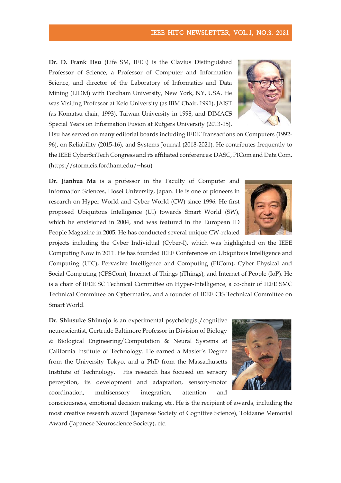**Dr. D. Frank Hsu** (Life SM, IEEE) is the Clavius Distinguished Professor of Science, a Professor of Computer and Information Science, and director of the Laboratory of Informatics and Data Mining (LIDM) with Fordham University, New York, NY, USA. He was Visiting Professor at Keio University (as IBM Chair, 1991), JAIST (as Komatsu chair, 1993), Taiwan University in 1998, and DIMACS Special Years on Information Fusion at Rutgers University (2013-15).

Hsu has served on many editorial boards including IEEE Transactions on Computers (1992- 96), on Reliability (2015-16), and Systems Journal (2018-2021). He contributes frequently to the IEEE CyberSciTech Congress and its affiliated conferences: DASC, PICom and Data Com. (https://storm.cis.fordham.edu/~hsu)

Dr. Jianhua Ma is a professor in the Faculty of Computer and Information Sciences, Hosei University, Japan. He is one of pioneers in research on Hyper World and Cyber World (CW) since 1996. He first proposed Ubiquitous Intelligence (UI) towards Smart World (SW), which he envisioned in 2004, and was featured in the European ID People Magazine in 2005. He has conducted several unique CW-related

projects including the Cyber Individual (Cyber-I), which was highlighted on the IEEE Computing Now in 2011. He has founded IEEE Conferences on Ubiquitous Intelligence and Computing (UIC), Pervasive Intelligence and Computing (PICom), Cyber Physical and Social Computing (CPSCom), Internet of Things (iThings), and Internet of People (IoP). He is a chair of IEEE SC Technical Committee on Hyper-Intelligence, a co-chair of IEEE SMC Technical Committee on Cybermatics, and a founder of IEEE CIS Technical Committee on Smart World.

**Dr. Shinsuke Shimojo** is an experimental psychologist/cognitive neuroscientist, Gertrude Baltimore Professor in Division of Biology & Biological Engineering/Computation & Neural Systems at California Institute of Technology. He earned a Master's Degree from the University Tokyo, and a PhD from the Massachusetts Institute of Technology. His research has focused on sensory perception, its development and adaptation, sensory-motor coordination, multisensory integration, attention and

consciousness, emotional decision making, etc. He is the recipient of awards, including the most creative research award (Japanese Society of Cognitive Science), Tokizane Memorial Award (Japanese Neuroscience Society), etc.





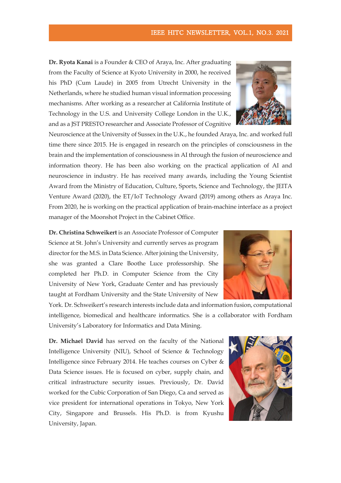**Dr. Ryota Kanai** is a Founder & CEO of Araya, Inc. After graduating from the Faculty of Science at Kyoto University in 2000, he received his PhD (Cum Laude) in 2005 from Utrecht University in the Netherlands, where he studied human visual information processing mechanisms. After working as a researcher at California Institute of Technology in the U.S. and University College London in the U.K., and as a JST PRESTO researcher and Associate Professor of Cognitive

Neuroscience at the University of Sussex in the U.K., he founded Araya, Inc. and worked full time there since 2015. He is engaged in research on the principles of consciousness in the brain and the implementation of consciousness in AI through the fusion of neuroscience and information theory. He has been also working on the practical application of AI and neuroscience in industry. He has received many awards, including the Young Scientist Award from the Ministry of Education, Culture, Sports, Science and Technology, the JEITA Venture Award (2020), the ET/IoT Technology Award (2019) among others as Araya Inc. From 2020, he is working on the practical application of brain-machine interface as a project manager of the Moonshot Project in the Cabinet Office.

**Dr. Christina Schweikert** is an Associate Professor of Computer Science at St. John's University and currently serves as program director for the M.S. in Data Science. After joining the University, she was granted a Clare Boothe Luce professorship. She completed her Ph.D. in Computer Science from the City University of New York, Graduate Center and has previously taught at Fordham University and the State University of New

York. Dr. Schweikert's research interests include data and information fusion, computational intelligence, biomedical and healthcare informatics. She is a collaborator with Fordham University's Laboratory for Informatics and Data Mining.

**Dr. Michael David** has served on the faculty of the National Intelligence University (NIU), School of Science & Technology Intelligence since February 2014. He teaches courses on Cyber & Data Science issues. He is focused on cyber, supply chain, and critical infrastructure security issues. Previously, Dr. David worked for the Cubic Corporation of San Diego, Ca and served as vice president for international operations in Tokyo, New York City, Singapore and Brussels. His Ph.D. is from Kyushu University, Japan.